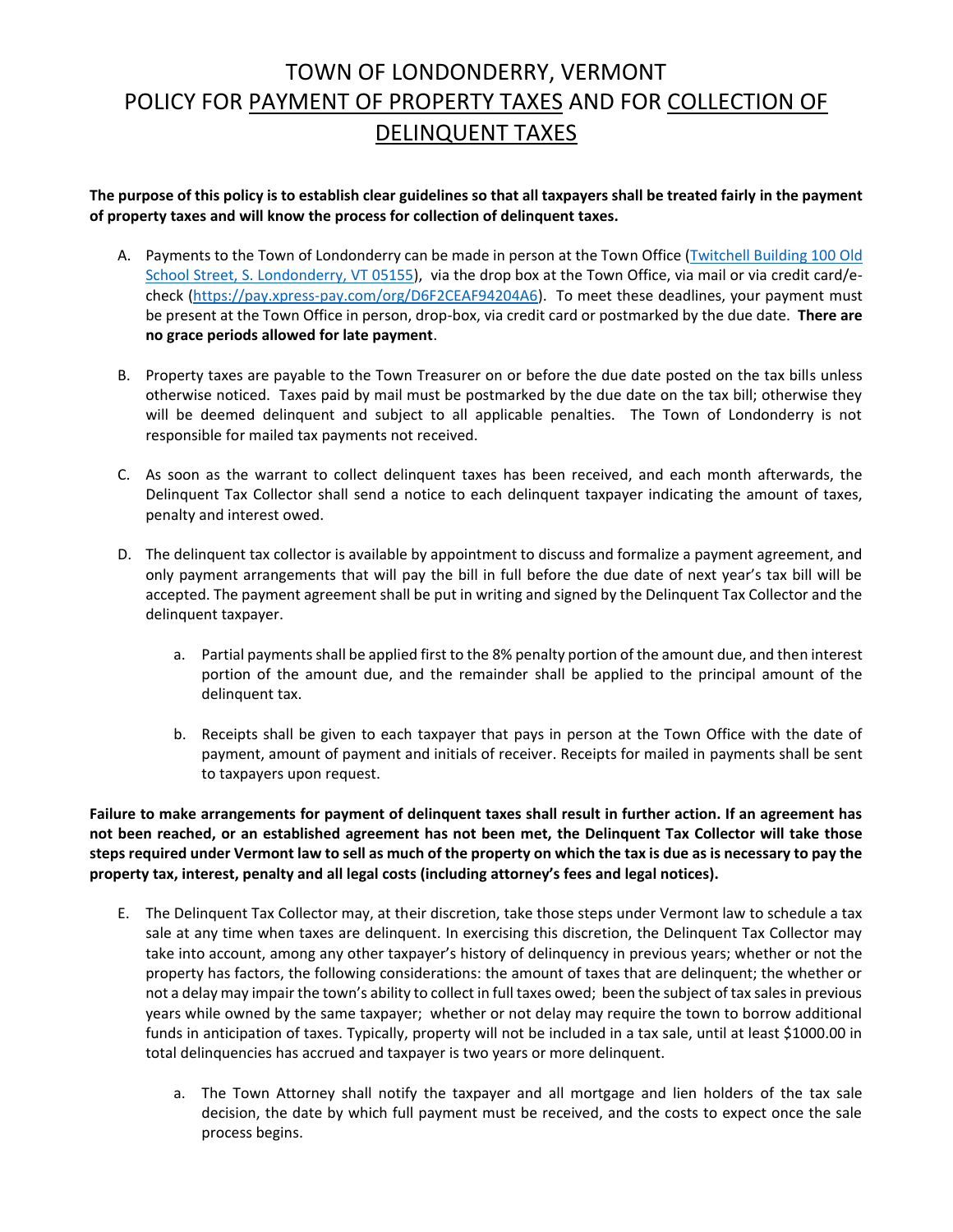## TOWN OF LONDONDERRY, VERMONT POLICY FOR PAYMENT OF PROPERTY TAXES AND FOR COLLECTION OF DELINQUENT TAXES

**The purpose of this policy is to establish clear guidelines so that all taxpayers shall be treated fairly in the payment of property taxes and will know the process for collection of delinquent taxes.**

- A. Payments to the Town of Londonderry can be made in person at the Town Office (Twitchell Building 100 Old School Street, S. Londonderry, VT 05155), via the drop box at the Town Office, via mail or via credit card/echeck (https://pay.xpress-pay.com/org/D6F2CEAF94204A6). To meet these deadlines, your payment must be present at the Town Office in person, drop-box, via credit card or postmarked by the due date. **There are no grace periods allowed for late payment**.
- B. Property taxes are payable to the Town Treasurer on or before the due date posted on the tax bills unless otherwise noticed. Taxes paid by mail must be postmarked by the due date on the tax bill; otherwise they will be deemed delinquent and subject to all applicable penalties. The Town of Londonderry is not responsible for mailed tax payments not received.
- C. As soon as the warrant to collect delinquent taxes has been received, and each month afterwards, the Delinquent Tax Collector shall send a notice to each delinquent taxpayer indicating the amount of taxes, penalty and interest owed.
- D. The delinquent tax collector is available by appointment to discuss and formalize a payment agreement, and only payment arrangements that will pay the bill in full before the due date of next year's tax bill will be accepted. The payment agreement shall be put in writing and signed by the Delinquent Tax Collector and the delinquent taxpayer.
	- a. Partial payments shall be applied first to the 8% penalty portion of the amount due, and then interest portion of the amount due, and the remainder shall be applied to the principal amount of the delinquent tax.
	- b. Receipts shall be given to each taxpayer that pays in person at the Town Office with the date of payment, amount of payment and initials of receiver. Receipts for mailed in payments shall be sent to taxpayers upon request.

**Failure to make arrangements for payment of delinquent taxes shall result in further action. If an agreement has not been reached, or an established agreement has not been met, the Delinquent Tax Collector will take those steps required under Vermont law to sell as much of the property on which the tax is due as is necessary to pay the property tax, interest, penalty and all legal costs (including attorney's fees and legal notices).**

- E. The Delinquent Tax Collector may, at their discretion, take those steps under Vermont law to schedule a tax sale at any time when taxes are delinquent. In exercising this discretion, the Delinquent Tax Collector may take into account, among any other taxpayer's history of delinquency in previous years; whether or not the property has factors, the following considerations: the amount of taxes that are delinquent; the whether or not a delay may impair the town's ability to collect in full taxes owed; been the subject of tax sales in previous years while owned by the same taxpayer; whether or not delay may require the town to borrow additional funds in anticipation of taxes. Typically, property will not be included in a tax sale, until at least \$1000.00 in total delinquencies has accrued and taxpayer is two years or more delinquent.
	- a. The Town Attorney shall notify the taxpayer and all mortgage and lien holders of the tax sale decision, the date by which full payment must be received, and the costs to expect once the sale process begins.